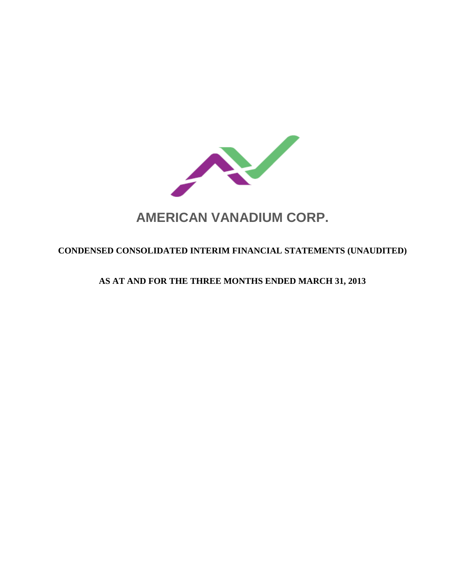

# **AMERICAN VANADIUM CORP.**

# **CONDENSED CONSOLIDATED INTERIM FINANCIAL STATEMENTS (UNAUDITED)**

# **AS AT AND FOR THE THREE MONTHS ENDED MARCH 31, 2013**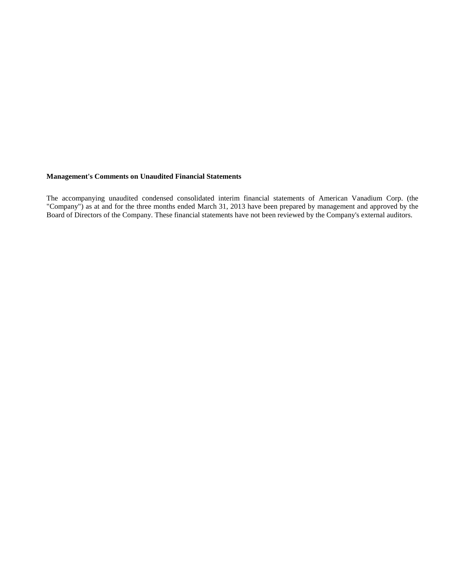#### **Management's Comments on Unaudited Financial Statements**

The accompanying unaudited condensed consolidated interim financial statements of American Vanadium Corp. (the "Company") as at and for the three months ended March 31, 2013 have been prepared by management and approved by the Board of Directors of the Company. These financial statements have not been reviewed by the Company's external auditors.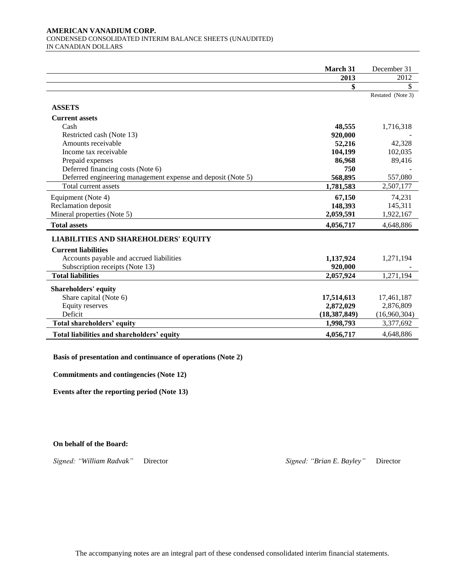#### **AMERICAN VANADIUM CORP.**  CONDENSED CONSOLIDATED INTERIM BALANCE SHEETS (UNAUDITED) IN CANADIAN DOLLARS

| March 31  | December 31                                                                                                                                     |
|-----------|-------------------------------------------------------------------------------------------------------------------------------------------------|
| 2013      | 2012                                                                                                                                            |
| \$        | \$                                                                                                                                              |
|           | Restated (Note 3)                                                                                                                               |
|           |                                                                                                                                                 |
|           |                                                                                                                                                 |
|           |                                                                                                                                                 |
|           | 1,716,318                                                                                                                                       |
|           |                                                                                                                                                 |
|           | 42,328                                                                                                                                          |
|           | 102,035                                                                                                                                         |
|           | 89,416                                                                                                                                          |
| 750       |                                                                                                                                                 |
| 568,895   | 557,080                                                                                                                                         |
| 1,781,583 | 2,507,177                                                                                                                                       |
| 67,150    | 74,231                                                                                                                                          |
| 148,393   | 145,311                                                                                                                                         |
|           | 1,922,167                                                                                                                                       |
| 4,056,717 | 4,648,886                                                                                                                                       |
|           |                                                                                                                                                 |
|           |                                                                                                                                                 |
|           |                                                                                                                                                 |
|           | 1,271,194                                                                                                                                       |
|           |                                                                                                                                                 |
|           | 1,271,194                                                                                                                                       |
|           |                                                                                                                                                 |
|           | 17,461,187                                                                                                                                      |
|           | 2,876,809                                                                                                                                       |
|           | (16,960,304)                                                                                                                                    |
| 1,998,793 | 3,377,692                                                                                                                                       |
| 4,056,717 | 4,648,886                                                                                                                                       |
|           | 48,555<br>920,000<br>52,216<br>104,199<br>86,968<br>2,059,591<br>1,137,924<br>920,000<br>2,057,924<br>17,514,613<br>2,872,029<br>(18, 387, 849) |

**Basis of presentation and continuance of operations (Note 2)**

**Commitments and contingencies (Note 12)**

**Events after the reporting period (Note 13)**

**On behalf of the Board:**

*Signed: "William Radvak"* Director *Signed: "Brian E. Bayley"* Director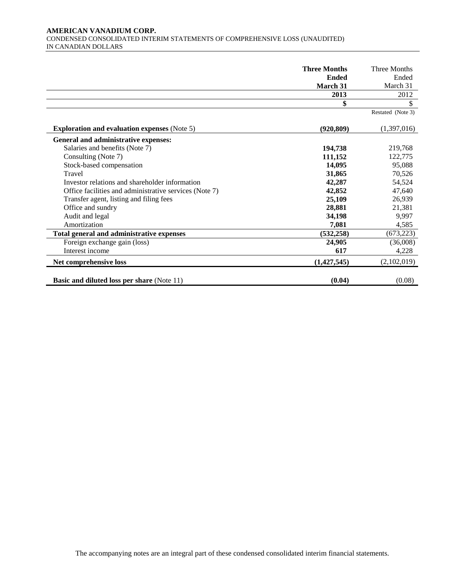#### **AMERICAN VANADIUM CORP.**  CONDENSED CONSOLIDATED INTERIM STATEMENTS OF COMPREHENSIVE LOSS (UNAUDITED) IN CANADIAN DOLLARS

|                                                        | <b>Three Months</b> | <b>Three Months</b> |
|--------------------------------------------------------|---------------------|---------------------|
|                                                        | <b>Ended</b>        | Ended               |
|                                                        | March 31            | March 31            |
|                                                        | 2013                | 2012                |
|                                                        | \$                  | \$                  |
|                                                        |                     | Restated (Note 3)   |
| <b>Exploration and evaluation expenses (Note 5)</b>    | (920, 809)          | (1,397,016)         |
| General and administrative expenses:                   |                     |                     |
| Salaries and benefits (Note 7)                         | 194,738             | 219,768             |
| Consulting (Note 7)                                    | 111,152             | 122,775             |
| Stock-based compensation                               | 14,095              | 95,088              |
| Travel                                                 | 31,865              | 70,526              |
| Investor relations and shareholder information         | 42,287              | 54,524              |
| Office facilities and administrative services (Note 7) | 42,852              | 47,640              |
| Transfer agent, listing and filing fees                | 25,109              | 26,939              |
| Office and sundry                                      | 28,881              | 21,381              |
| Audit and legal                                        | 34,198              | 9,997               |
| Amortization                                           | 7,081               | 4,585               |
| Total general and administrative expenses              | (532, 258)          | (673, 223)          |
| Foreign exchange gain (loss)                           | 24,905              | (36,008)            |
| Interest income                                        | 617                 | 4,228               |
| Net comprehensive loss                                 | (1,427,545)         | (2,102,019)         |
| <b>Basic and diluted loss per share (Note 11)</b>      | (0.04)              | (0.08)              |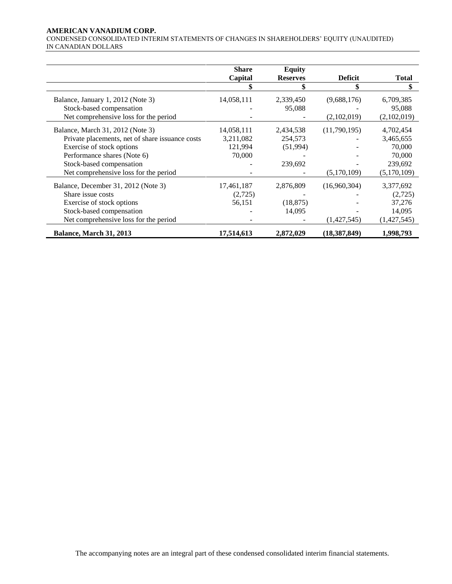#### **AMERICAN VANADIUM CORP.**

CONDENSED CONSOLIDATED INTERIM STATEMENTS OF CHANGES IN SHAREHOLDERS' EQUITY (UNAUDITED) IN CANADIAN DOLLARS

|                                                 | <b>Share</b> | <b>Equity</b>   |                |              |
|-------------------------------------------------|--------------|-----------------|----------------|--------------|
|                                                 | Capital      | <b>Reserves</b> | <b>Deficit</b> | <b>Total</b> |
|                                                 |              |                 | \$             | \$           |
| Balance, January 1, 2012 (Note 3)               | 14,058,111   | 2,339,450       | (9,688,176)    | 6,709,385    |
| Stock-based compensation                        |              | 95,088          |                | 95,088       |
| Net comprehensive loss for the period           |              |                 | (2,102,019)    | (2,102,019)  |
| Balance, March 31, 2012 (Note 3)                | 14,058,111   | 2,434,538       | (11,790,195)   | 4,702,454    |
| Private placements, net of share issuance costs | 3,211,082    | 254,573         |                | 3,465,655    |
| Exercise of stock options                       | 121,994      | (51,994)        |                | 70,000       |
| Performance shares (Note 6)                     | 70,000       |                 |                | 70,000       |
| Stock-based compensation                        |              | 239,692         |                | 239,692      |
| Net comprehensive loss for the period           |              |                 | (5,170,109)    | (5,170,109)  |
| Balance, December 31, 2012 (Note 3)             | 17,461,187   | 2,876,809       | (16,960,304)   | 3,377,692    |
| Share issue costs                               | (2,725)      |                 |                | (2,725)      |
| Exercise of stock options                       | 56,151       | (18, 875)       |                | 37,276       |
| Stock-based compensation                        |              | 14,095          |                | 14,095       |
| Net comprehensive loss for the period           |              |                 | (1,427,545)    | (1,427,545)  |
| <b>Balance, March 31, 2013</b>                  | 17,514,613   | 2,872,029       | (18,387,849)   | 1,998,793    |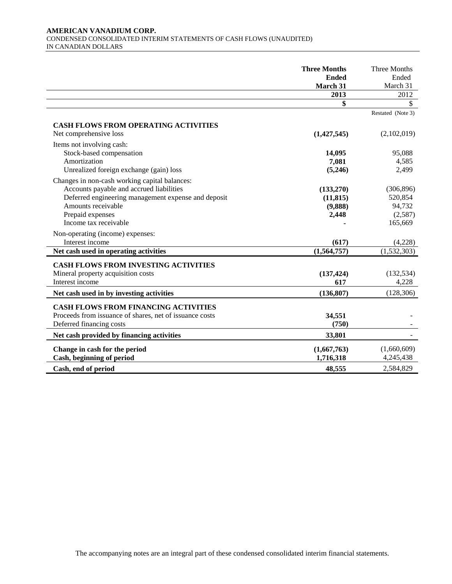#### **AMERICAN VANADIUM CORP.**  CONDENSED CONSOLIDATED INTERIM STATEMENTS OF CASH FLOWS (UNAUDITED) IN CANADIAN DOLLARS

|                                                         | <b>Three Months</b><br><b>Ended</b> | Three Months<br>Ended    |
|---------------------------------------------------------|-------------------------------------|--------------------------|
|                                                         | March 31                            | March 31                 |
|                                                         | 2013                                | 2012                     |
|                                                         | \$                                  | \$                       |
|                                                         |                                     | Restated (Note 3)        |
| <b>CASH FLOWS FROM OPERATING ACTIVITIES</b>             |                                     |                          |
| Net comprehensive loss                                  | (1,427,545)                         | (2,102,019)              |
| Items not involving cash:                               |                                     |                          |
| Stock-based compensation                                | 14,095                              | 95,088                   |
| Amortization                                            | 7,081                               | 4,585                    |
| Unrealized foreign exchange (gain) loss                 | (5,246)                             | 2,499                    |
| Changes in non-cash working capital balances:           |                                     |                          |
| Accounts payable and accrued liabilities                | (133,270)                           | (306, 896)               |
| Deferred engineering management expense and deposit     | (11, 815)                           | 520,854                  |
| Amounts receivable                                      | (9,888)                             | 94,732                   |
| Prepaid expenses                                        | 2,448                               | (2,587)                  |
| Income tax receivable                                   |                                     | 165,669                  |
| Non-operating (income) expenses:                        |                                     |                          |
| Interest income                                         | (617)                               | (4,228)                  |
| Net cash used in operating activities                   | (1,564,757)                         | $\overline{(1,532,303)}$ |
| <b>CASH FLOWS FROM INVESTING ACTIVITIES</b>             |                                     |                          |
| Mineral property acquisition costs                      | (137, 424)                          | (132, 534)               |
| Interest income                                         | 617                                 | 4,228                    |
| Net cash used in by investing activities                | (136, 807)                          | (128, 306)               |
|                                                         |                                     |                          |
| <b>CASH FLOWS FROM FINANCING ACTIVITIES</b>             |                                     |                          |
| Proceeds from issuance of shares, net of issuance costs | 34,551                              |                          |
| Deferred financing costs                                | (750)                               |                          |
| Net cash provided by financing activities               | 33,801                              |                          |
| Change in cash for the period                           | (1,667,763)                         | (1,660,609)              |
| Cash, beginning of period                               | 1,716,318                           | 4,245,438                |
| Cash, end of period                                     | 48,555                              | 2,584,829                |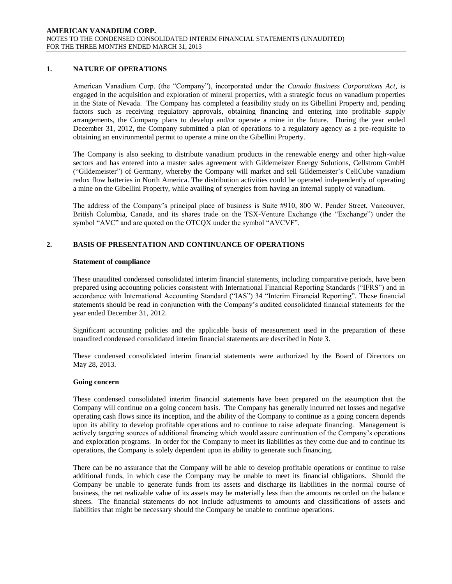# **1. NATURE OF OPERATIONS**

American Vanadium Corp. (the "Company"), incorporated under the *Canada Business Corporations Act*, is engaged in the acquisition and exploration of mineral properties, with a strategic focus on vanadium properties in the State of Nevada. The Company has completed a feasibility study on its Gibellini Property and, pending factors such as receiving regulatory approvals, obtaining financing and entering into profitable supply arrangements, the Company plans to develop and/or operate a mine in the future. During the year ended December 31, 2012, the Company submitted a plan of operations to a regulatory agency as a pre-requisite to obtaining an environmental permit to operate a mine on the Gibellini Property.

The Company is also seeking to distribute vanadium products in the renewable energy and other high-value sectors and has entered into a master sales agreement with Gildemeister Energy Solutions, Cellstrom GmbH ("Gildemeister") of Germany, whereby the Company will market and sell Gildemeister's CellCube vanadium redox flow batteries in North America. The distribution activities could be operated independently of operating a mine on the Gibellini Property, while availing of synergies from having an internal supply of vanadium.

The address of the Company's principal place of business is Suite #910, 800 W. Pender Street, Vancouver, British Columbia, Canada, and its shares trade on the TSX-Venture Exchange (the "Exchange") under the symbol "AVC" and are quoted on the OTCQX under the symbol "AVCVF".

# **2. BASIS OF PRESENTATION AND CONTINUANCE OF OPERATIONS**

#### **Statement of compliance**

These unaudited condensed consolidated interim financial statements, including comparative periods, have been prepared using accounting policies consistent with International Financial Reporting Standards ("IFRS") and in accordance with International Accounting Standard ("IAS") 34 "Interim Financial Reporting". These financial statements should be read in conjunction with the Company's audited consolidated financial statements for the year ended December 31, 2012.

Significant accounting policies and the applicable basis of measurement used in the preparation of these unaudited condensed consolidated interim financial statements are described in Note 3.

These condensed consolidated interim financial statements were authorized by the Board of Directors on May 28, 2013.

#### **Going concern**

These condensed consolidated interim financial statements have been prepared on the assumption that the Company will continue on a going concern basis. The Company has generally incurred net losses and negative operating cash flows since its inception, and the ability of the Company to continue as a going concern depends upon its ability to develop profitable operations and to continue to raise adequate financing. Management is actively targeting sources of additional financing which would assure continuation of the Company's operations and exploration programs. In order for the Company to meet its liabilities as they come due and to continue its operations, the Company is solely dependent upon its ability to generate such financing.

There can be no assurance that the Company will be able to develop profitable operations or continue to raise additional funds, in which case the Company may be unable to meet its financial obligations. Should the Company be unable to generate funds from its assets and discharge its liabilities in the normal course of business, the net realizable value of its assets may be materially less than the amounts recorded on the balance sheets. The financial statements do not include adjustments to amounts and classifications of assets and liabilities that might be necessary should the Company be unable to continue operations.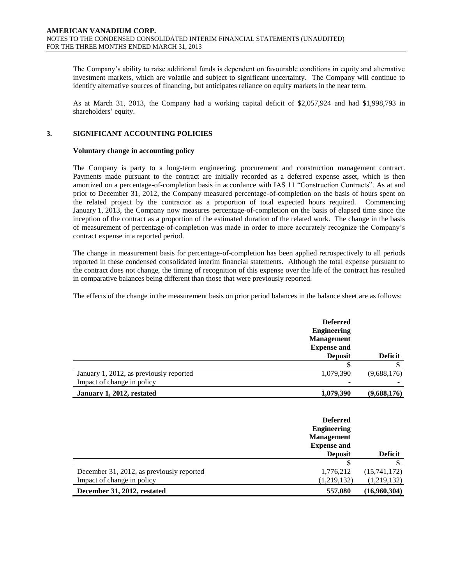The Company's ability to raise additional funds is dependent on favourable conditions in equity and alternative investment markets, which are volatile and subject to significant uncertainty. The Company will continue to identify alternative sources of financing, but anticipates reliance on equity markets in the near term.

As at March 31, 2013, the Company had a working capital deficit of \$2,057,924 and had \$1,998,793 in shareholders' equity.

# **3. SIGNIFICANT ACCOUNTING POLICIES**

#### **Voluntary change in accounting policy**

The Company is party to a long-term engineering, procurement and construction management contract. Payments made pursuant to the contract are initially recorded as a deferred expense asset, which is then amortized on a percentage-of-completion basis in accordance with IAS 11 "Construction Contracts". As at and prior to December 31, 2012, the Company measured percentage-of-completion on the basis of hours spent on the related project by the contractor as a proportion of total expected hours required. Commencing January 1, 2013, the Company now measures percentage-of-completion on the basis of elapsed time since the inception of the contract as a proportion of the estimated duration of the related work. The change in the basis of measurement of percentage-of-completion was made in order to more accurately recognize the Company's contract expense in a reported period.

The change in measurement basis for percentage-of-completion has been applied retrospectively to all periods reported in these condensed consolidated interim financial statements. Although the total expense pursuant to the contract does not change, the timing of recognition of this expense over the life of the contract has resulted in comparative balances being different than those that were previously reported.

The effects of the change in the measurement basis on prior period balances in the balance sheet are as follows:

|                                         | <b>Deferred</b><br><b>Engineering</b><br><b>Management</b><br><b>Expense and</b><br><b>Deposit</b> | <b>Deficit</b> |
|-----------------------------------------|----------------------------------------------------------------------------------------------------|----------------|
|                                         |                                                                                                    |                |
| January 1, 2012, as previously reported | 1,079,390                                                                                          | (9,688,176)    |
| Impact of change in policy              |                                                                                                    |                |
| January 1, 2012, restated               | 1,079,390                                                                                          | (9,688,176)    |

|                                           | <b>Deferred</b><br><b>Engineering</b><br><b>Management</b><br><b>Expense and</b><br><b>Deposit</b> | <b>Deficit</b> |
|-------------------------------------------|----------------------------------------------------------------------------------------------------|----------------|
|                                           |                                                                                                    |                |
| December 31, 2012, as previously reported | 1,776,212                                                                                          | (15,741,172)   |
| Impact of change in policy                | (1,219,132)                                                                                        | (1,219,132)    |
| December 31, 2012, restated               | 557,080                                                                                            | (16,960,304)   |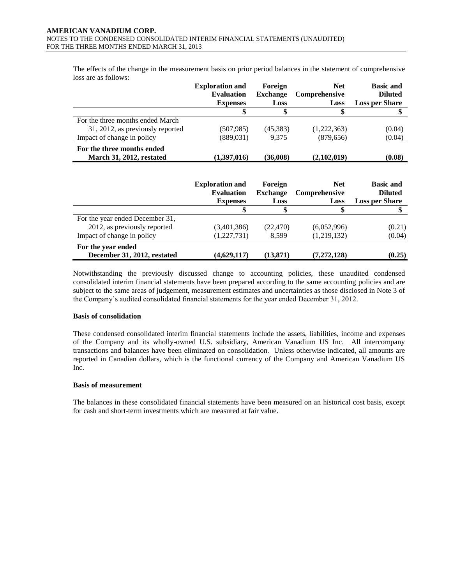The effects of the change in the measurement basis on prior period balances in the statement of comprehensive loss are as follows:

|                                                                                               | <b>Exploration and</b><br><b>Evaluation</b>                    | Foreign<br><b>Exchange</b>         | <b>Net</b><br>Comprehensive         | <b>Basic and</b><br><b>Diluted</b>                          |
|-----------------------------------------------------------------------------------------------|----------------------------------------------------------------|------------------------------------|-------------------------------------|-------------------------------------------------------------|
|                                                                                               | <b>Expenses</b><br>\$                                          | Loss<br>\$                         | Loss<br>\$                          | <b>Loss per Share</b><br>\$                                 |
| For the three months ended March                                                              |                                                                |                                    |                                     |                                                             |
| 31, 2012, as previously reported                                                              | (507, 985)                                                     | (45,383)                           | (1,222,363)                         | (0.04)                                                      |
| Impact of change in policy                                                                    | (889, 031)                                                     | 9,375                              | (879, 656)                          | (0.04)                                                      |
| For the three months ended<br>March 31, 2012, restated                                        | (1,397,016)                                                    | (36,008)                           | (2,102,019)                         | (0.08)                                                      |
|                                                                                               |                                                                |                                    |                                     |                                                             |
|                                                                                               | <b>Exploration and</b><br><b>Evaluation</b><br><b>Expenses</b> | Foreign<br><b>Exchange</b><br>Loss | <b>Net</b><br>Comprehensive<br>Loss | <b>Basic and</b><br><b>Diluted</b><br><b>Loss per Share</b> |
|                                                                                               | \$                                                             | \$                                 | \$                                  | \$                                                          |
| For the year ended December 31,<br>2012, as previously reported<br>Impact of change in policy | (3,401,386)<br>(1,227,731)                                     | (22, 470)<br>8,599                 | (6,052,996)<br>(1,219,132)          | (0.21)<br>(0.04)                                            |

Notwithstanding the previously discussed change to accounting policies, these unaudited condensed consolidated interim financial statements have been prepared according to the same accounting policies and are subject to the same areas of judgement, measurement estimates and uncertainties as those disclosed in Note 3 of the Company's audited consolidated financial statements for the year ended December 31, 2012.

#### **Basis of consolidation**

These condensed consolidated interim financial statements include the assets, liabilities, income and expenses of the Company and its wholly-owned U.S. subsidiary, American Vanadium US Inc. All intercompany transactions and balances have been eliminated on consolidation. Unless otherwise indicated, all amounts are reported in Canadian dollars, which is the functional currency of the Company and American Vanadium US Inc.

#### **Basis of measurement**

The balances in these consolidated financial statements have been measured on an historical cost basis, except for cash and short-term investments which are measured at fair value.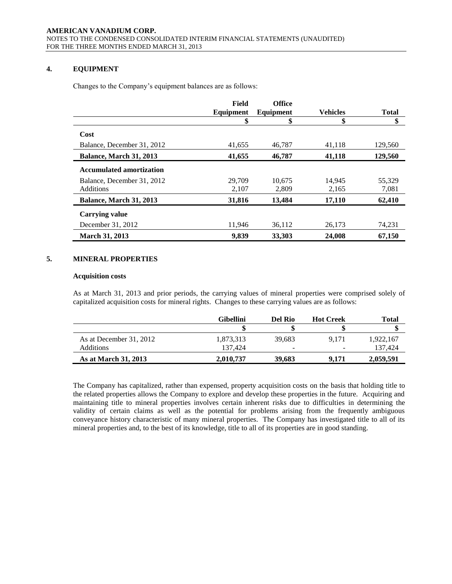# **4. EQUIPMENT**

Changes to the Company's equipment balances are as follows:

|                                 | Field     | <b>Office</b> |                 |              |
|---------------------------------|-----------|---------------|-----------------|--------------|
|                                 | Equipment | Equipment     | <b>Vehicles</b> | <b>Total</b> |
|                                 | \$        | \$            | \$              | \$           |
| Cost                            |           |               |                 |              |
| Balance, December 31, 2012      | 41.655    | 46.787        | 41.118          | 129,560      |
| <b>Balance, March 31, 2013</b>  | 41,655    | 46,787        | 41,118          | 129,560      |
| <b>Accumulated amortization</b> |           |               |                 |              |
| Balance, December 31, 2012      | 29,709    | 10.675        | 14.945          | 55.329       |
| <b>Additions</b>                | 2,107     | 2,809         | 2,165           | 7,081        |
| Balance, March 31, 2013         | 31,816    | 13,484        | 17,110          | 62,410       |
| Carrying value                  |           |               |                 |              |
| December 31, 2012               | 11.946    | 36.112        | 26.173          | 74,231       |
| <b>March 31, 2013</b>           | 9,839     | 33,303        | 24,008          | 67.150       |

#### **5. MINERAL PROPERTIES**

#### **Acquisition costs**

As at March 31, 2013 and prior periods, the carrying values of mineral properties were comprised solely of capitalized acquisition costs for mineral rights. Changes to these carrying values are as follows:

|                             | <b>Gibellini</b> | Del Rio                  | <b>Hot Creek</b> | Total     |
|-----------------------------|------------------|--------------------------|------------------|-----------|
|                             |                  |                          |                  |           |
| As at December 31, 2012     | 1,873,313        | 39.683                   | 9.171            | 1,922,167 |
| Additions                   | 137.424          | $\overline{\phantom{a}}$ | $\sim$           | 137.424   |
| <b>As at March 31, 2013</b> | 2,010,737        | 39,683                   | 9.171            | 2,059,591 |

The Company has capitalized, rather than expensed, property acquisition costs on the basis that holding title to the related properties allows the Company to explore and develop these properties in the future. Acquiring and maintaining title to mineral properties involves certain inherent risks due to difficulties in determining the validity of certain claims as well as the potential for problems arising from the frequently ambiguous conveyance history characteristic of many mineral properties. The Company has investigated title to all of its mineral properties and, to the best of its knowledge, title to all of its properties are in good standing.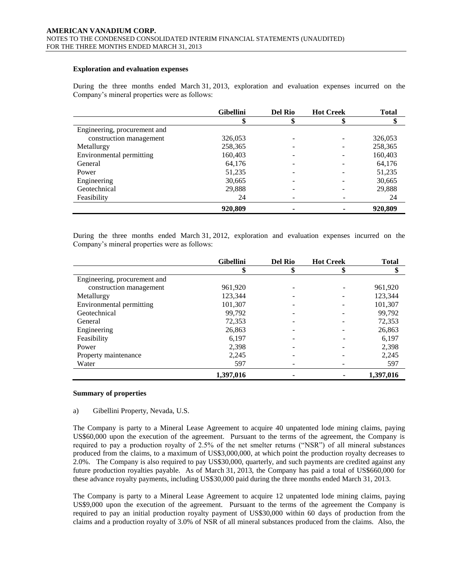#### **Exploration and evaluation expenses**

During the three months ended March 31, 2013, exploration and evaluation expenses incurred on the Company's mineral properties were as follows:

|                              | <b>Gibellini</b> | <b>Del Rio</b> | <b>Hot Creek</b> | <b>Total</b> |
|------------------------------|------------------|----------------|------------------|--------------|
|                              |                  |                |                  |              |
| Engineering, procurement and |                  |                |                  |              |
| construction management      | 326,053          |                |                  | 326,053      |
| Metallurgy                   | 258,365          |                |                  | 258,365      |
| Environmental permitting     | 160,403          |                |                  | 160,403      |
| General                      | 64,176           |                |                  | 64,176       |
| Power                        | 51,235           |                |                  | 51,235       |
| Engineering                  | 30,665           |                |                  | 30,665       |
| Geotechnical                 | 29,888           |                |                  | 29,888       |
| Feasibility                  | 24               |                |                  | 24           |
|                              | 920,809          |                |                  | 920,809      |

During the three months ended March 31, 2012, exploration and evaluation expenses incurred on the Company's mineral properties were as follows:

|                              | <b>Gibellini</b> | <b>Del Rio</b> | <b>Hot Creek</b> | <b>Total</b> |
|------------------------------|------------------|----------------|------------------|--------------|
|                              | \$               | м              | S                | \$           |
| Engineering, procurement and |                  |                |                  |              |
| construction management      | 961,920          |                |                  | 961,920      |
| Metallurgy                   | 123,344          |                |                  | 123,344      |
| Environmental permitting     | 101,307          |                |                  | 101,307      |
| Geotechnical                 | 99,792           |                |                  | 99,792       |
| General                      | 72,353           |                |                  | 72,353       |
| Engineering                  | 26,863           |                |                  | 26,863       |
| Feasibility                  | 6,197            |                |                  | 6,197        |
| Power                        | 2,398            |                |                  | 2,398        |
| Property maintenance         | 2,245            |                |                  | 2,245        |
| Water                        | 597              |                |                  | 597          |
|                              | 1,397,016        |                |                  | 1,397,016    |

#### **Summary of properties**

#### a) Gibellini Property, Nevada, U.S.

The Company is party to a Mineral Lease Agreement to acquire 40 unpatented lode mining claims, paying US\$60,000 upon the execution of the agreement. Pursuant to the terms of the agreement, the Company is required to pay a production royalty of 2.5% of the net smelter returns ("NSR") of all mineral substances produced from the claims, to a maximum of US\$3,000,000, at which point the production royalty decreases to 2.0%. The Company is also required to pay US\$30,000, quarterly, and such payments are credited against any future production royalties payable. As of March 31, 2013, the Company has paid a total of US\$660,000 for these advance royalty payments, including US\$30,000 paid during the three months ended March 31, 2013.

The Company is party to a Mineral Lease Agreement to acquire 12 unpatented lode mining claims, paying US\$9,000 upon the execution of the agreement. Pursuant to the terms of the agreement the Company is required to pay an initial production royalty payment of US\$30,000 within 60 days of production from the claims and a production royalty of 3.0% of NSR of all mineral substances produced from the claims. Also, the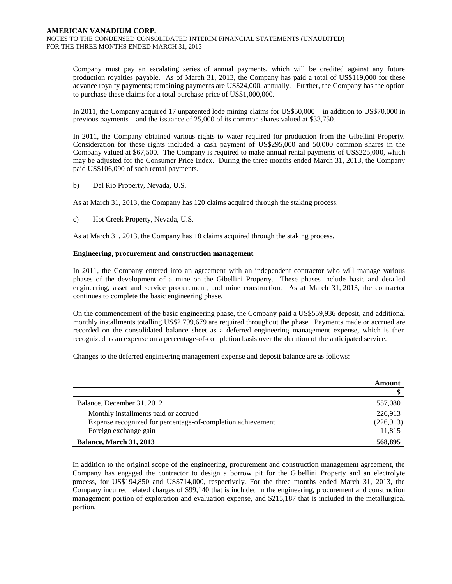Company must pay an escalating series of annual payments, which will be credited against any future production royalties payable. As of March 31, 2013, the Company has paid a total of US\$119,000 for these advance royalty payments; remaining payments are US\$24,000, annually. Further, the Company has the option to purchase these claims for a total purchase price of US\$1,000,000.

In 2011, the Company acquired 17 unpatented lode mining claims for US\$50,000 – in addition to US\$70,000 in previous payments – and the issuance of 25,000 of its common shares valued at \$33,750.

In 2011, the Company obtained various rights to water required for production from the Gibellini Property. Consideration for these rights included a cash payment of US\$295,000 and 50,000 common shares in the Company valued at \$67,500. The Company is required to make annual rental payments of US\$225,000, which may be adjusted for the Consumer Price Index. During the three months ended March 31, 2013, the Company paid US\$106,090 of such rental payments.

b) Del Rio Property, Nevada, U.S.

As at March 31, 2013, the Company has 120 claims acquired through the staking process.

c) Hot Creek Property, Nevada, U.S.

As at March 31, 2013, the Company has 18 claims acquired through the staking process.

#### **Engineering, procurement and construction management**

In 2011, the Company entered into an agreement with an independent contractor who will manage various phases of the development of a mine on the Gibellini Property. These phases include basic and detailed engineering, asset and service procurement, and mine construction. As at March 31, 2013, the contractor continues to complete the basic engineering phase.

On the commencement of the basic engineering phase, the Company paid a US\$559,936 deposit, and additional monthly installments totalling US\$2,799,679 are required throughout the phase. Payments made or accrued are recorded on the consolidated balance sheet as a deferred engineering management expense, which is then recognized as an expense on a percentage-of-completion basis over the duration of the anticipated service.

Changes to the deferred engineering management expense and deposit balance are as follows:

|                                                             | Amount    |
|-------------------------------------------------------------|-----------|
|                                                             |           |
| Balance, December 31, 2012                                  | 557,080   |
| Monthly installments paid or accrued                        | 226,913   |
| Expense recognized for percentage-of-completion achievement | (226,913) |
| Foreign exchange gain                                       | 11,815    |
| <b>Balance, March 31, 2013</b>                              | 568,895   |

In addition to the original scope of the engineering, procurement and construction management agreement, the Company has engaged the contractor to design a borrow pit for the Gibellini Property and an electrolyte process, for US\$194,850 and US\$714,000, respectively. For the three months ended March 31, 2013, the Company incurred related charges of \$99,140 that is included in the engineering, procurement and construction management portion of exploration and evaluation expense, and \$215,187 that is included in the metallurgical portion.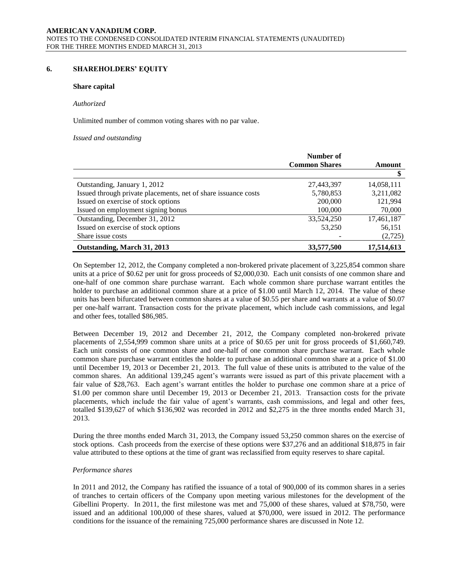#### **6. SHAREHOLDERS' EQUITY**

#### **Share capital**

#### *Authorized*

Unlimited number of common voting shares with no par value.

*Issued and outstanding*

|                                                                | Number of            |            |
|----------------------------------------------------------------|----------------------|------------|
|                                                                | <b>Common Shares</b> | Amount     |
|                                                                |                      |            |
| Outstanding, January 1, 2012                                   | 27,443,397           | 14,058,111 |
| Issued through private placements, net of share issuance costs | 5,780,853            | 3,211,082  |
| Issued on exercise of stock options                            | 200,000              | 121.994    |
| Issued on employment signing bonus                             | 100,000              | 70,000     |
| Outstanding, December 31, 2012                                 | 33,524,250           | 17,461,187 |
| Issued on exercise of stock options                            | 53,250               | 56,151     |
| Share issue costs                                              |                      | (2,725)    |
| Outstanding, March 31, 2013                                    | 33,577,500           | 17,514,613 |

On September 12, 2012, the Company completed a non-brokered private placement of 3,225,854 common share units at a price of \$0.62 per unit for gross proceeds of \$2,000,030. Each unit consists of one common share and one-half of one common share purchase warrant. Each whole common share purchase warrant entitles the holder to purchase an additional common share at a price of \$1.00 until March 12, 2014. The value of these units has been bifurcated between common shares at a value of \$0.55 per share and warrants at a value of \$0.07 per one-half warrant. Transaction costs for the private placement, which include cash commissions, and legal and other fees, totalled \$86,985.

Between December 19, 2012 and December 21, 2012, the Company completed non-brokered private placements of 2,554,999 common share units at a price of \$0.65 per unit for gross proceeds of \$1,660,749. Each unit consists of one common share and one-half of one common share purchase warrant. Each whole common share purchase warrant entitles the holder to purchase an additional common share at a price of \$1.00 until December 19, 2013 or December 21, 2013. The full value of these units is attributed to the value of the common shares. An additional 139,245 agent's warrants were issued as part of this private placement with a fair value of \$28,763. Each agent's warrant entitles the holder to purchase one common share at a price of \$1.00 per common share until December 19, 2013 or December 21, 2013. Transaction costs for the private placements, which include the fair value of agent's warrants, cash commissions, and legal and other fees, totalled \$139,627 of which \$136,902 was recorded in 2012 and \$2,275 in the three months ended March 31, 2013.

During the three months ended March 31, 2013, the Company issued 53,250 common shares on the exercise of stock options. Cash proceeds from the exercise of these options were \$37,276 and an additional \$18,875 in fair value attributed to these options at the time of grant was reclassified from equity reserves to share capital.

#### *Performance shares*

In 2011 and 2012, the Company has ratified the issuance of a total of 900,000 of its common shares in a series of tranches to certain officers of the Company upon meeting various milestones for the development of the Gibellini Property. In 2011, the first milestone was met and 75,000 of these shares, valued at \$78,750, were issued and an additional 100,000 of these shares, valued at \$70,000, were issued in 2012. The performance conditions for the issuance of the remaining 725,000 performance shares are discussed in Note 12.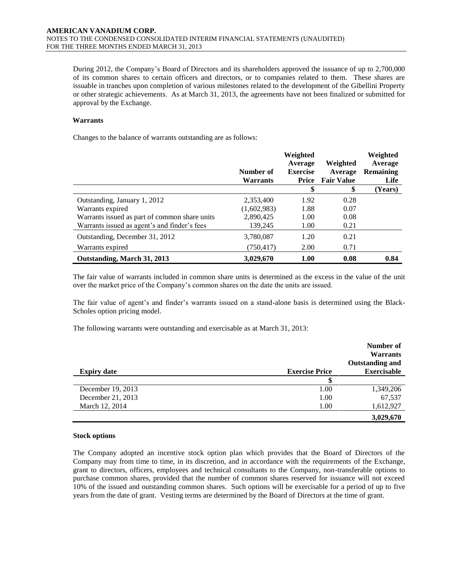During 2012, the Company's Board of Directors and its shareholders approved the issuance of up to 2,700,000 of its common shares to certain officers and directors, or to companies related to them. These shares are issuable in tranches upon completion of various milestones related to the development of the Gibellini Property or other strategic achievements. As at March 31, 2013, the agreements have not been finalized or submitted for approval by the Exchange.

#### **Warrants**

Changes to the balance of warrants outstanding are as follows:

|                                               | Number of<br><b>Warrants</b> | Weighted<br>Average<br><b>Exercise</b><br>Price | Weighted<br>Average<br><b>Fair Value</b> | Weighted<br>Average<br><b>Remaining</b><br>Life |
|-----------------------------------------------|------------------------------|-------------------------------------------------|------------------------------------------|-------------------------------------------------|
|                                               |                              | \$                                              | \$                                       | (Years)                                         |
| Outstanding, January 1, 2012                  | 2,353,400                    | 1.92                                            | 0.28                                     |                                                 |
| Warrants expired                              | (1,602,983)                  | 1.88                                            | 0.07                                     |                                                 |
| Warrants issued as part of common share units | 2,890,425                    | 1.00                                            | 0.08                                     |                                                 |
| Warrants issued as agent's and finder's fees  | 139,245                      | 1.00                                            | 0.21                                     |                                                 |
| Outstanding, December 31, 2012                | 3,780,087                    | 1.20                                            | 0.21                                     |                                                 |
| Warrants expired                              | (750, 417)                   | 2.00                                            | 0.71                                     |                                                 |
| Outstanding, March 31, 2013                   | 3,029,670                    | 1.00                                            | 0.08                                     | 0.84                                            |

The fair value of warrants included in common share units is determined as the excess in the value of the unit over the market price of the Company's common shares on the date the units are issued.

The fair value of agent's and finder's warrants issued on a stand-alone basis is determined using the Black-Scholes option pricing model.

The following warrants were outstanding and exercisable as at March 31, 2013:

|                    |                       | Number of<br><b>Warrants</b> |
|--------------------|-----------------------|------------------------------|
|                    |                       | <b>Outstanding and</b>       |
| <b>Expiry date</b> | <b>Exercise Price</b> | <b>Exercisable</b>           |
|                    |                       |                              |
| December 19, 2013  | 1.00                  | 1,349,206                    |
| December 21, 2013  | 1.00                  | 67,537                       |
| March 12, 2014     | 1.00                  | 1,612,927                    |
|                    |                       | 3,029,670                    |

#### **Stock options**

The Company adopted an incentive stock option plan which provides that the Board of Directors of the Company may from time to time, in its discretion, and in accordance with the requirements of the Exchange, grant to directors, officers, employees and technical consultants to the Company, non-transferable options to purchase common shares, provided that the number of common shares reserved for issuance will not exceed 10% of the issued and outstanding common shares. Such options will be exercisable for a period of up to five years from the date of grant. Vesting terms are determined by the Board of Directors at the time of grant.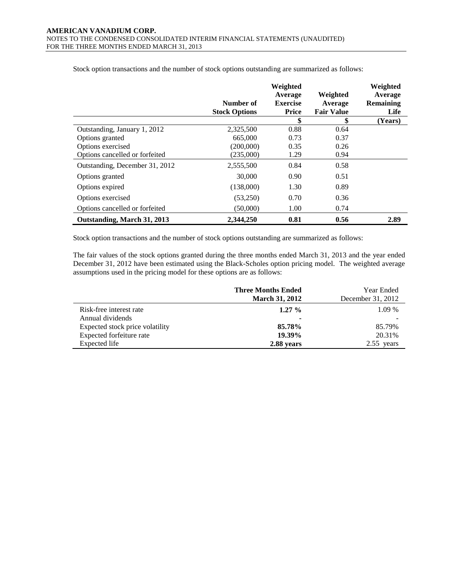|                                | Number of            | Weighted<br>Average<br><b>Exercise</b> | Weighted<br>Average     | Weighted<br>Average<br>Remaining |
|--------------------------------|----------------------|----------------------------------------|-------------------------|----------------------------------|
|                                | <b>Stock Options</b> | <b>Price</b><br>\$                     | <b>Fair Value</b><br>\$ | Life<br>(Years)                  |
| Outstanding, January 1, 2012   | 2,325,500            | 0.88                                   | 0.64                    |                                  |
| Options granted                | 665,000              | 0.73                                   | 0.37                    |                                  |
| Options exercised              | (200,000)            | 0.35                                   | 0.26                    |                                  |
| Options cancelled or forfeited | (235,000)            | 1.29                                   | 0.94                    |                                  |
| Outstanding, December 31, 2012 | 2,555,500            | 0.84                                   | 0.58                    |                                  |
| Options granted                | 30,000               | 0.90                                   | 0.51                    |                                  |
| Options expired                | (138,000)            | 1.30                                   | 0.89                    |                                  |
| Options exercised              | (53,250)             | 0.70                                   | 0.36                    |                                  |
| Options cancelled or forfeited | (50,000)             | 1.00                                   | 0.74                    |                                  |
| Outstanding, March 31, 2013    | 2,344,250            | 0.81                                   | 0.56                    | 2.89                             |

Stock option transactions and the number of stock options outstanding are summarized as follows:

Stock option transactions and the number of stock options outstanding are summarized as follows:

The fair values of the stock options granted during the three months ended March 31, 2013 and the year ended December 31, 2012 have been estimated using the Black-Scholes option pricing model. The weighted average assumptions used in the pricing model for these options are as follows:

|                                 | <b>Three Months Ended</b><br><b>March 31, 2012</b> | Year Ended<br>December 31, 2012 |
|---------------------------------|----------------------------------------------------|---------------------------------|
| Risk-free interest rate         | $1.27\%$                                           | 1.09 %                          |
| Annual dividends                | ۰                                                  |                                 |
| Expected stock price volatility | 85.78%                                             | 85.79%                          |
| Expected forfeiture rate        | 19.39%                                             | 20.31%                          |
| Expected life                   | 2.88 years                                         | 2.55<br>vears                   |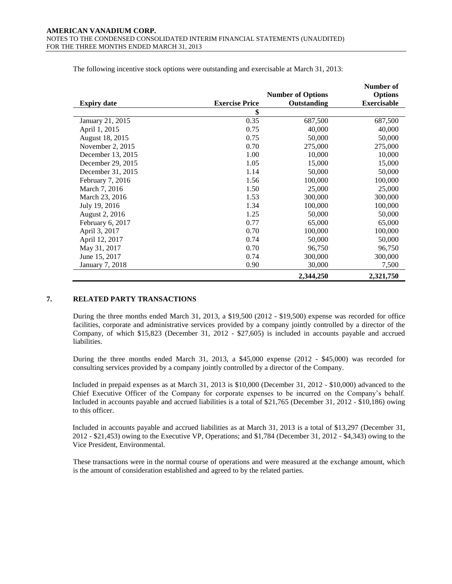|                    |                       |                          | Number of          |
|--------------------|-----------------------|--------------------------|--------------------|
|                    |                       | <b>Number of Options</b> | <b>Options</b>     |
| <b>Expiry date</b> | <b>Exercise Price</b> | Outstanding              | <b>Exercisable</b> |
|                    | \$                    |                          |                    |
| January 21, 2015   | 0.35                  | 687,500                  | 687,500            |
| April 1, 2015      | 0.75                  | 40,000                   | 40,000             |
| August 18, 2015    | 0.75                  | 50,000                   | 50,000             |
| November 2, 2015   | 0.70                  | 275,000                  | 275,000            |
| December 13, 2015  | 1.00                  | 10,000                   | 10,000             |
| December 29, 2015  | 1.05                  | 15,000                   | 15,000             |
| December 31, 2015  | 1.14                  | 50,000                   | 50,000             |
| February 7, 2016   | 1.56                  | 100,000                  | 100,000            |
| March 7, 2016      | 1.50                  | 25,000                   | 25,000             |
| March 23, 2016     | 1.53                  | 300,000                  | 300,000            |
| July 19, 2016      | 1.34                  | 100,000                  | 100,000            |
| August 2, 2016     | 1.25                  | 50,000                   | 50,000             |
| February 6, 2017   | 0.77                  | 65,000                   | 65,000             |
| April 3, 2017      | 0.70                  | 100,000                  | 100,000            |
| April 12, 2017     | 0.74                  | 50,000                   | 50,000             |
| May 31, 2017       | 0.70                  | 96,750                   | 96,750             |
| June 15, 2017      | 0.74                  | 300,000                  | 300,000            |
| January 7, 2018    | 0.90                  | 30,000                   | 7,500              |
|                    |                       | 2,344,250                | 2,321,750          |

The following incentive stock options were outstanding and exercisable at March 31, 2013:

# **7. RELATED PARTY TRANSACTIONS**

During the three months ended March 31, 2013, a \$19,500 (2012 - \$19,500) expense was recorded for office facilities, corporate and administrative services provided by a company jointly controlled by a director of the Company, of which \$15,823 (December 31, 2012 - \$27,605) is included in accounts payable and accrued liabilities.

During the three months ended March 31, 2013, a \$45,000 expense (2012 - \$45,000) was recorded for consulting services provided by a company jointly controlled by a director of the Company.

Included in prepaid expenses as at March 31, 2013 is \$10,000 (December 31, 2012 - \$10,000) advanced to the Chief Executive Officer of the Company for corporate expenses to be incurred on the Company's behalf. Included in accounts payable and accrued liabilities is a total of \$21,765 (December 31, 2012 - \$10,186) owing to this officer.

Included in accounts payable and accrued liabilities as at March 31, 2013 is a total of \$13,297 (December 31, 2012 - \$21,453) owing to the Executive VP, Operations; and \$1,784 (December 31, 2012 - \$4,343) owing to the Vice President, Environmental.

These transactions were in the normal course of operations and were measured at the exchange amount, which is the amount of consideration established and agreed to by the related parties.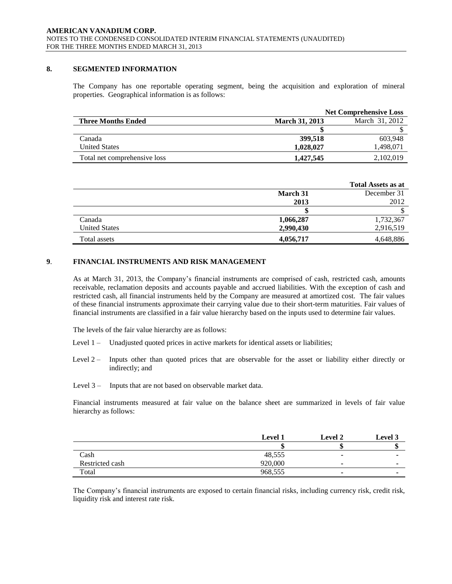### **8. SEGMENTED INFORMATION**

The Company has one reportable operating segment, being the acquisition and exploration of mineral properties. Geographical information is as follows:

|                              |                       | <b>Net Comprehensive Loss</b> |
|------------------------------|-----------------------|-------------------------------|
| <b>Three Months Ended</b>    | <b>March 31, 2013</b> | March 31, 2012                |
|                              |                       |                               |
| Canada                       | 399,518               | 603.948                       |
| <b>United States</b>         | 1,028,027             | 1,498,071                     |
| Total net comprehensive loss | 1.427.545             | 2,102,019                     |

|                      |           | <b>Total Assets as at</b> |
|----------------------|-----------|---------------------------|
|                      | March 31  | December 31               |
|                      | 2013      | 2012                      |
|                      |           |                           |
| Canada               | 1,066,287 | 1,732,367                 |
| <b>United States</b> | 2,990,430 | 2,916,519                 |
| Total assets         | 4,056,717 | 4,648,886                 |

# **9**. **FINANCIAL INSTRUMENTS AND RISK MANAGEMENT**

As at March 31, 2013, the Company's financial instruments are comprised of cash, restricted cash, amounts receivable, reclamation deposits and accounts payable and accrued liabilities. With the exception of cash and restricted cash, all financial instruments held by the Company are measured at amortized cost. The fair values of these financial instruments approximate their carrying value due to their short-term maturities. Fair values of financial instruments are classified in a fair value hierarchy based on the inputs used to determine fair values.

The levels of the fair value hierarchy are as follows:

- Level 1 Unadjusted quoted prices in active markets for identical assets or liabilities;
- Level 2 Inputs other than quoted prices that are observable for the asset or liability either directly or indirectly; and
- Level 3 Inputs that are not based on observable market data.

Financial instruments measured at fair value on the balance sheet are summarized in levels of fair value hierarchy as follows:

|                 | <b>Level 1</b> | <b>Level 2</b> | <b>Level 3</b> |
|-----------------|----------------|----------------|----------------|
|                 |                |                | w              |
| Cash            | 48,555         |                |                |
| Restricted cash | 920,000        |                | -              |
| Total           | 968,555        | ۰              |                |

The Company's financial instruments are exposed to certain financial risks, including currency risk, credit risk, liquidity risk and interest rate risk.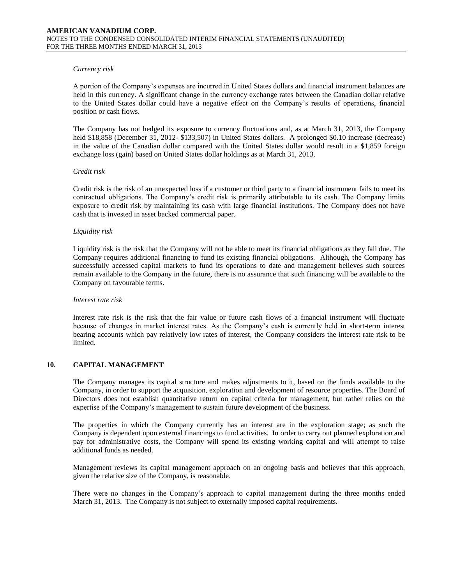#### *Currency risk*

A portion of the Company's expenses are incurred in United States dollars and financial instrument balances are held in this currency. A significant change in the currency exchange rates between the Canadian dollar relative to the United States dollar could have a negative effect on the Company's results of operations, financial position or cash flows.

The Company has not hedged its exposure to currency fluctuations and, as at March 31, 2013, the Company held \$18,858 (December 31, 2012- \$133,507) in United States dollars. A prolonged \$0.10 increase (decrease) in the value of the Canadian dollar compared with the United States dollar would result in a \$1,859 foreign exchange loss (gain) based on United States dollar holdings as at March 31, 2013.

#### *Credit risk*

Credit risk is the risk of an unexpected loss if a customer or third party to a financial instrument fails to meet its contractual obligations. The Company's credit risk is primarily attributable to its cash. The Company limits exposure to credit risk by maintaining its cash with large financial institutions. The Company does not have cash that is invested in asset backed commercial paper.

#### *Liquidity risk*

Liquidity risk is the risk that the Company will not be able to meet its financial obligations as they fall due. The Company requires additional financing to fund its existing financial obligations. Although, the Company has successfully accessed capital markets to fund its operations to date and management believes such sources remain available to the Company in the future, there is no assurance that such financing will be available to the Company on favourable terms.

#### *Interest rate risk*

Interest rate risk is the risk that the fair value or future cash flows of a financial instrument will fluctuate because of changes in market interest rates. As the Company's cash is currently held in short-term interest bearing accounts which pay relatively low rates of interest, the Company considers the interest rate risk to be limited.

# **10. CAPITAL MANAGEMENT**

The Company manages its capital structure and makes adjustments to it, based on the funds available to the Company, in order to support the acquisition, exploration and development of resource properties. The Board of Directors does not establish quantitative return on capital criteria for management, but rather relies on the expertise of the Company's management to sustain future development of the business.

The properties in which the Company currently has an interest are in the exploration stage; as such the Company is dependent upon external financings to fund activities. In order to carry out planned exploration and pay for administrative costs, the Company will spend its existing working capital and will attempt to raise additional funds as needed.

Management reviews its capital management approach on an ongoing basis and believes that this approach, given the relative size of the Company, is reasonable.

There were no changes in the Company's approach to capital management during the three months ended March 31, 2013. The Company is not subject to externally imposed capital requirements.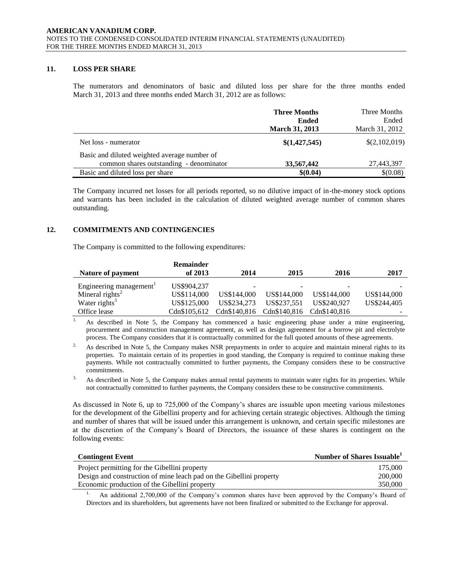# **11. LOSS PER SHARE**

The numerators and denominators of basic and diluted loss per share for the three months ended March 31, 2013 and three months ended March 31, 2012 are as follows:

|                                              | <b>Three Months</b><br><b>Ended</b><br><b>March 31, 2013</b> | Three Months<br>Ended<br>March 31, 2012 |
|----------------------------------------------|--------------------------------------------------------------|-----------------------------------------|
| Net loss - numerator                         | \$(1,427,545)                                                | \$(2,102,019)                           |
| Basic and diluted weighted average number of |                                                              |                                         |
| common shares outstanding - denominator      | 33,567,442                                                   | 27,443,397                              |
| Basic and diluted loss per share             | \$(0.04)                                                     | \$(0.08)                                |

The Company incurred net losses for all periods reported, so no dilutive impact of in-the-money stock options and warrants has been included in the calculation of diluted weighted average number of common shares outstanding.

# **12. COMMITMENTS AND CONTINGENCIES**

The Company is committed to the following expenditures:

|                                     | Remainder    |              |              |              |             |
|-------------------------------------|--------------|--------------|--------------|--------------|-------------|
| Nature of payment                   | of 2013      | 2014         | 2015         | 2016         | 2017        |
| Engineering management <sup>1</sup> | US\$904.237  | -            |              |              |             |
| Mineral rights <sup>2</sup>         | US\$114,000  | US\$144,000  | US\$144,000  | US\$144,000  | US\$144,000 |
| Water rights <sup>3</sup>           | US\$125,000  | US\$234,273  | US\$237.551  | US\$240.927  | US\$244,405 |
| Office lease                        | Cdn\$105.612 | Cdn\$140.816 | Cdn\$140,816 | Cdn\$140.816 |             |

<sup>1.</sup> As described in Note 5, the Company has commenced a basic engineering phase under a mine engineering, procurement and construction management agreement, as well as design agreement for a borrow pit and electrolyte process. The Company considers that it is contractually committed for the full quoted amounts of these agreements.

<sup>2.</sup> As described in Note 5, the Company makes NSR prepayments in order to acquire and maintain mineral rights to its properties. To maintain certain of its properties in good standing, the Company is required to continue making these payments. While not contractually committed to further payments, the Company considers these to be constructive commitments.

<sup>3.</sup> As described in Note 5, the Company makes annual rental payments to maintain water rights for its properties. While not contractually committed to further payments, the Company considers these to be constructive commitments.

As discussed in Note 6, up to 725,000 of the Company's shares are issuable upon meeting various milestones for the development of the Gibellini property and for achieving certain strategic objectives. Although the timing and number of shares that will be issued under this arrangement is unknown, and certain specific milestones are at the discretion of the Company's Board of Directors, the issuance of these shares is contingent on the following events:

| <b>Contingent Event</b>                                             | Number of Shares Issuable <sup>1</sup> |
|---------------------------------------------------------------------|----------------------------------------|
| Project permitting for the Gibellini property                       | 175,000                                |
| Design and construction of mine leach pad on the Gibellini property | 200,000                                |
| Economic production of the Gibellini property                       | 350,000                                |
|                                                                     |                                        |

1. An additional 2,700,000 of the Company's common shares have been approved by the Company's Board of Directors and its shareholders, but agreements have not been finalized or submitted to the Exchange for approval.